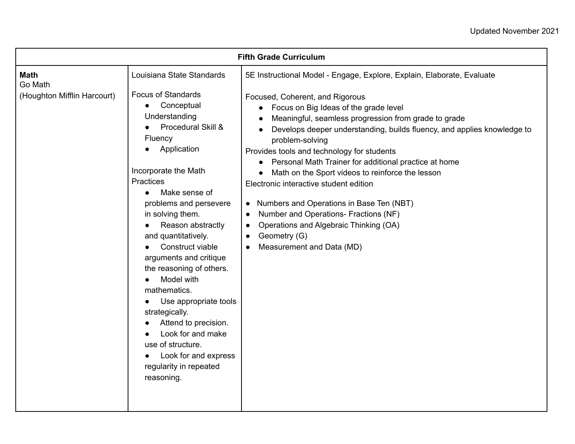| <b>Fifth Grade Curriculum</b> |                                                                                                                                                                                                                                                                                                                                                                                                                                                                                                                                                                         |                                                                                                                                                                                                                                                                                                                                                                                                                                                                                                                                                                                                                                                                                                            |
|-------------------------------|-------------------------------------------------------------------------------------------------------------------------------------------------------------------------------------------------------------------------------------------------------------------------------------------------------------------------------------------------------------------------------------------------------------------------------------------------------------------------------------------------------------------------------------------------------------------------|------------------------------------------------------------------------------------------------------------------------------------------------------------------------------------------------------------------------------------------------------------------------------------------------------------------------------------------------------------------------------------------------------------------------------------------------------------------------------------------------------------------------------------------------------------------------------------------------------------------------------------------------------------------------------------------------------------|
| <b>Math</b><br>Go Math        | Louisiana State Standards                                                                                                                                                                                                                                                                                                                                                                                                                                                                                                                                               | 5E Instructional Model - Engage, Explore, Explain, Elaborate, Evaluate                                                                                                                                                                                                                                                                                                                                                                                                                                                                                                                                                                                                                                     |
| (Houghton Mifflin Harcourt)   | <b>Focus of Standards</b><br>Conceptual<br>$\bullet$<br>Understanding<br>Procedural Skill &<br>Fluency<br>Application<br>Incorporate the Math<br>Practices<br>Make sense of<br>$\bullet$<br>problems and persevere<br>in solving them.<br>Reason abstractly<br>and quantitatively.<br>Construct viable<br>arguments and critique<br>the reasoning of others.<br>Model with<br>mathematics.<br>Use appropriate tools<br>strategically.<br>Attend to precision.<br>Look for and make<br>use of structure.<br>Look for and express<br>regularity in repeated<br>reasoning. | Focused, Coherent, and Rigorous<br>Focus on Big Ideas of the grade level<br>$\bullet$<br>Meaningful, seamless progression from grade to grade<br>Develops deeper understanding, builds fluency, and applies knowledge to<br>problem-solving<br>Provides tools and technology for students<br>Personal Math Trainer for additional practice at home<br>$\bullet$<br>Math on the Sport videos to reinforce the lesson<br>Electronic interactive student edition<br>Numbers and Operations in Base Ten (NBT)<br>$\bullet$<br>Number and Operations- Fractions (NF)<br>$\bullet$<br>Operations and Algebraic Thinking (OA)<br>$\bullet$<br>Geometry (G)<br>$\bullet$<br>Measurement and Data (MD)<br>$\bullet$ |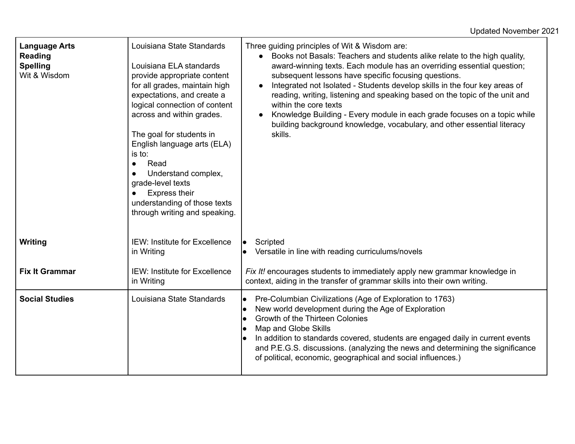| <b>Language Arts</b><br>Reading<br><b>Spelling</b><br>Wit & Wisdom | Louisiana State Standards<br>Louisiana ELA standards<br>provide appropriate content<br>for all grades, maintain high<br>expectations, and create a<br>logical connection of content<br>across and within grades.<br>The goal for students in<br>English language arts (ELA)<br>is to:<br>Read<br>Understand complex,<br>grade-level texts<br><b>Express their</b><br>understanding of those texts<br>through writing and speaking. | Three guiding principles of Wit & Wisdom are:<br>Books not Basals: Teachers and students alike relate to the high quality,<br>award-winning texts. Each module has an overriding essential question;<br>subsequent lessons have specific focusing questions.<br>Integrated not Isolated - Students develop skills in the four key areas of<br>$\bullet$<br>reading, writing, listening and speaking based on the topic of the unit and<br>within the core texts<br>Knowledge Building - Every module in each grade focuses on a topic while<br>$\bullet$<br>building background knowledge, vocabulary, and other essential literacy<br>skills. |
|--------------------------------------------------------------------|------------------------------------------------------------------------------------------------------------------------------------------------------------------------------------------------------------------------------------------------------------------------------------------------------------------------------------------------------------------------------------------------------------------------------------|------------------------------------------------------------------------------------------------------------------------------------------------------------------------------------------------------------------------------------------------------------------------------------------------------------------------------------------------------------------------------------------------------------------------------------------------------------------------------------------------------------------------------------------------------------------------------------------------------------------------------------------------|
| Writing                                                            | <b>IEW: Institute for Excellence</b><br>in Writing                                                                                                                                                                                                                                                                                                                                                                                 | Scripted<br>le<br>Versatile in line with reading curriculums/novels<br>$\bullet$                                                                                                                                                                                                                                                                                                                                                                                                                                                                                                                                                               |
| <b>Fix It Grammar</b>                                              | <b>IEW: Institute for Excellence</b><br>in Writing                                                                                                                                                                                                                                                                                                                                                                                 | Fix It! encourages students to immediately apply new grammar knowledge in<br>context, aiding in the transfer of grammar skills into their own writing.                                                                                                                                                                                                                                                                                                                                                                                                                                                                                         |
| <b>Social Studies</b>                                              | Louisiana State Standards                                                                                                                                                                                                                                                                                                                                                                                                          | Pre-Columbian Civilizations (Age of Exploration to 1763)<br>$\bullet$<br>New world development during the Age of Exploration<br>$\bullet$<br>Growth of the Thirteen Colonies<br>$\bullet$<br>Map and Globe Skills<br>$\bullet$<br>In addition to standards covered, students are engaged daily in current events<br>$\bullet$<br>and P.E.G.S. discussions. (analyzing the news and determining the significance<br>of political, economic, geographical and social influences.)                                                                                                                                                                |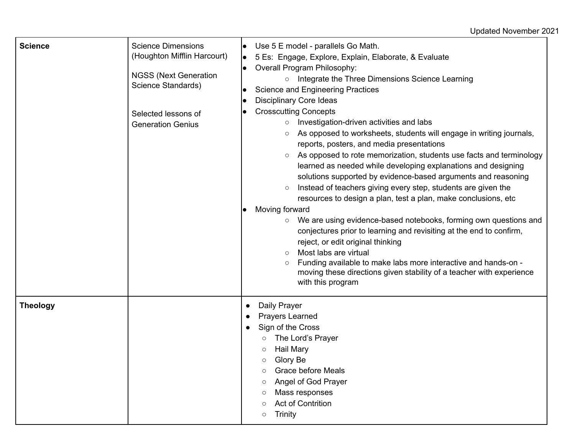## Updated November 2021

| <b>Science</b>  | <b>Science Dimensions</b><br>(Houghton Mifflin Harcourt)<br><b>NGSS (Next Generation</b><br>Science Standards)<br>Selected lessons of<br><b>Generation Genius</b> | Use 5 E model - parallels Go Math.<br>5 Es: Engage, Explore, Explain, Elaborate, & Evaluate<br>$\bullet$<br>Overall Program Philosophy:<br>$\bullet$<br>Integrate the Three Dimensions Science Learning<br>$\circ$<br><b>Science and Engineering Practices</b><br><b>Disciplinary Core Ideas</b><br>$\bullet$<br><b>Crosscutting Concepts</b><br>Investigation-driven activities and labs<br>$\circ$<br>As opposed to worksheets, students will engage in writing journals,<br>$\circ$<br>reports, posters, and media presentations<br>As opposed to rote memorization, students use facts and terminology<br>$\circ$<br>learned as needed while developing explanations and designing<br>solutions supported by evidence-based arguments and reasoning<br>Instead of teachers giving every step, students are given the<br>$\circ$<br>resources to design a plan, test a plan, make conclusions, etc<br>Moving forward<br>We are using evidence-based notebooks, forming own questions and<br>$\circ$<br>conjectures prior to learning and revisiting at the end to confirm,<br>reject, or edit original thinking<br>Most labs are virtual<br>$\circ$<br>Funding available to make labs more interactive and hands-on -<br>$\circ$<br>moving these directions given stability of a teacher with experience<br>with this program |
|-----------------|-------------------------------------------------------------------------------------------------------------------------------------------------------------------|----------------------------------------------------------------------------------------------------------------------------------------------------------------------------------------------------------------------------------------------------------------------------------------------------------------------------------------------------------------------------------------------------------------------------------------------------------------------------------------------------------------------------------------------------------------------------------------------------------------------------------------------------------------------------------------------------------------------------------------------------------------------------------------------------------------------------------------------------------------------------------------------------------------------------------------------------------------------------------------------------------------------------------------------------------------------------------------------------------------------------------------------------------------------------------------------------------------------------------------------------------------------------------------------------------------------------------|
| <b>Theology</b> |                                                                                                                                                                   | Daily Prayer<br>$\bullet$<br><b>Prayers Learned</b><br>$\bullet$<br>Sign of the Cross<br>$\bullet$<br>The Lord's Prayer<br><b>Hail Mary</b><br>Glory Be<br>$\circ$<br><b>Grace before Meals</b><br>$\circ$<br>Angel of God Prayer<br>$\circ$<br>Mass responses<br>O<br><b>Act of Contrition</b><br>O<br><b>Trinity</b><br>$\circ$                                                                                                                                                                                                                                                                                                                                                                                                                                                                                                                                                                                                                                                                                                                                                                                                                                                                                                                                                                                                |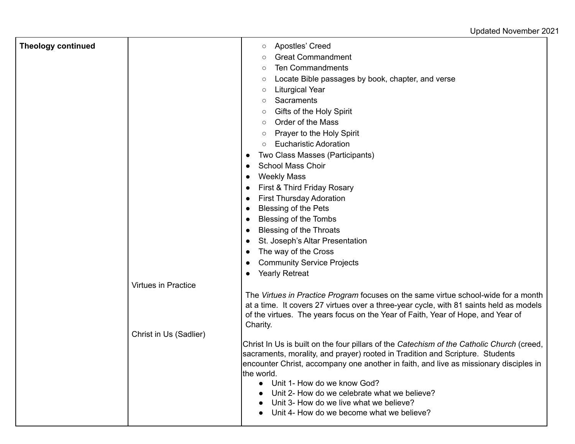## Updated November 2021

| <b>Theology continued</b> | <b>Virtues in Practice</b> | <b>Apostles' Creed</b><br>$\circ$<br><b>Great Commandment</b><br>O<br><b>Ten Commandments</b><br>$\circ$<br>Locate Bible passages by book, chapter, and verse<br>O<br><b>Liturgical Year</b><br>$\circ$<br>Sacraments<br>$\circ$<br>Gifts of the Holy Spirit<br>$\circ$<br>Order of the Mass<br>$\circ$<br>Prayer to the Holy Spirit<br>$\circ$<br><b>Eucharistic Adoration</b><br>$\circ$<br>Two Class Masses (Participants)<br><b>School Mass Choir</b><br><b>Weekly Mass</b><br>First & Third Friday Rosary<br><b>First Thursday Adoration</b><br><b>Blessing of the Pets</b><br><b>Blessing of the Tombs</b><br><b>Blessing of the Throats</b><br>St. Joseph's Altar Presentation<br>The way of the Cross<br><b>Community Service Projects</b><br><b>Yearly Retreat</b> |
|---------------------------|----------------------------|-----------------------------------------------------------------------------------------------------------------------------------------------------------------------------------------------------------------------------------------------------------------------------------------------------------------------------------------------------------------------------------------------------------------------------------------------------------------------------------------------------------------------------------------------------------------------------------------------------------------------------------------------------------------------------------------------------------------------------------------------------------------------------|
|                           |                            | The Virtues in Practice Program focuses on the same virtue school-wide for a month<br>at a time. It covers 27 virtues over a three-year cycle, with 81 saints held as models<br>of the virtues. The years focus on the Year of Faith, Year of Hope, and Year of<br>Charity.                                                                                                                                                                                                                                                                                                                                                                                                                                                                                                 |
|                           | Christ in Us (Sadlier)     | Christ In Us is built on the four pillars of the Catechism of the Catholic Church (creed,<br>sacraments, morality, and prayer) rooted in Tradition and Scripture. Students<br>encounter Christ, accompany one another in faith, and live as missionary disciples in<br>lthe world.<br>Unit 1- How do we know God?<br>Unit 2- How do we celebrate what we believe?<br>Unit 3- How do we live what we believe?<br>Unit 4- How do we become what we believe?                                                                                                                                                                                                                                                                                                                   |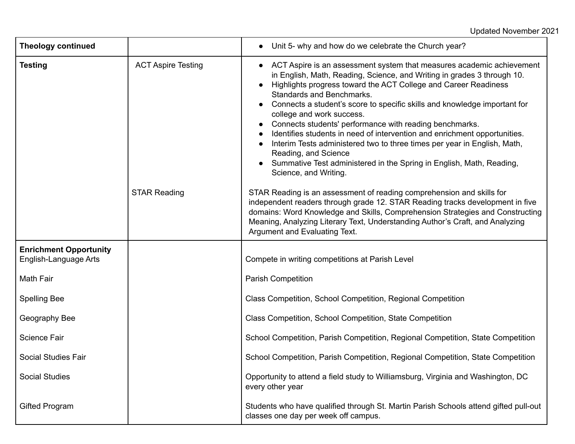## Updated November 2021

| <b>Theology continued</b>                              |                           | Unit 5- why and how do we celebrate the Church year?                                                                                                                                                                                                                                                                                                                                                                                                                                                                                                                                                                                                                                                           |
|--------------------------------------------------------|---------------------------|----------------------------------------------------------------------------------------------------------------------------------------------------------------------------------------------------------------------------------------------------------------------------------------------------------------------------------------------------------------------------------------------------------------------------------------------------------------------------------------------------------------------------------------------------------------------------------------------------------------------------------------------------------------------------------------------------------------|
| <b>Testing</b>                                         | <b>ACT Aspire Testing</b> | ACT Aspire is an assessment system that measures academic achievement<br>in English, Math, Reading, Science, and Writing in grades 3 through 10.<br>Highlights progress toward the ACT College and Career Readiness<br><b>Standards and Benchmarks.</b><br>Connects a student's score to specific skills and knowledge important for<br>college and work success.<br>Connects students' performance with reading benchmarks.<br>Identifies students in need of intervention and enrichment opportunities.<br>Interim Tests administered two to three times per year in English, Math,<br>Reading, and Science<br>Summative Test administered in the Spring in English, Math, Reading,<br>Science, and Writing. |
|                                                        | <b>STAR Reading</b>       | STAR Reading is an assessment of reading comprehension and skills for<br>independent readers through grade 12. STAR Reading tracks development in five<br>domains: Word Knowledge and Skills, Comprehension Strategies and Constructing<br>Meaning, Analyzing Literary Text, Understanding Author's Craft, and Analyzing<br>Argument and Evaluating Text.                                                                                                                                                                                                                                                                                                                                                      |
| <b>Enrichment Opportunity</b><br>English-Language Arts |                           | Compete in writing competitions at Parish Level                                                                                                                                                                                                                                                                                                                                                                                                                                                                                                                                                                                                                                                                |
| Math Fair                                              |                           | <b>Parish Competition</b>                                                                                                                                                                                                                                                                                                                                                                                                                                                                                                                                                                                                                                                                                      |
| <b>Spelling Bee</b>                                    |                           | Class Competition, School Competition, Regional Competition                                                                                                                                                                                                                                                                                                                                                                                                                                                                                                                                                                                                                                                    |
| Geography Bee                                          |                           | Class Competition, School Competition, State Competition                                                                                                                                                                                                                                                                                                                                                                                                                                                                                                                                                                                                                                                       |
| <b>Science Fair</b>                                    |                           | School Competition, Parish Competition, Regional Competition, State Competition                                                                                                                                                                                                                                                                                                                                                                                                                                                                                                                                                                                                                                |
| <b>Social Studies Fair</b>                             |                           | School Competition, Parish Competition, Regional Competition, State Competition                                                                                                                                                                                                                                                                                                                                                                                                                                                                                                                                                                                                                                |
| <b>Social Studies</b>                                  |                           | Opportunity to attend a field study to Williamsburg, Virginia and Washington, DC<br>every other year                                                                                                                                                                                                                                                                                                                                                                                                                                                                                                                                                                                                           |
| <b>Gifted Program</b>                                  |                           | Students who have qualified through St. Martin Parish Schools attend gifted pull-out<br>classes one day per week off campus.                                                                                                                                                                                                                                                                                                                                                                                                                                                                                                                                                                                   |